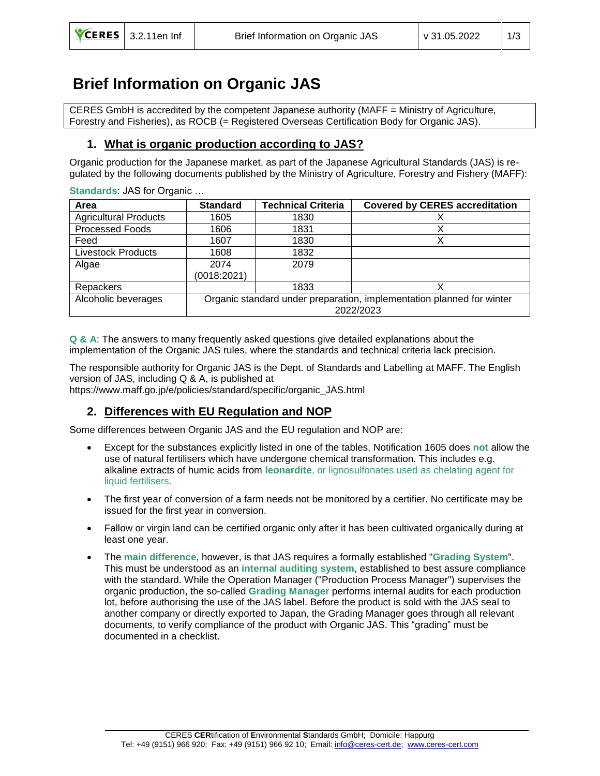# **Brief Information on Organic JAS**

CERES GmbH is accredited by the competent Japanese authority (MAFF = Ministry of Agriculture, Forestry and Fisheries), as ROCB (= Registered Overseas Certification Body for Organic JAS).

# **1. What is organic production according to JAS?**

Organic production for the Japanese market, as part of the Japanese Agricultural Standards (JAS) is regulated by the following documents published by the Ministry of Agriculture, Forestry and Fishery (MAFF):

**Standards**: JAS for Organic …

| Area                         | <b>Standard</b>                                                       | <b>Technical Criteria</b> | <b>Covered by CERES accreditation</b> |
|------------------------------|-----------------------------------------------------------------------|---------------------------|---------------------------------------|
| <b>Agricultural Products</b> | 1605                                                                  | 1830                      |                                       |
| Processed Foods              | 1606                                                                  | 1831                      |                                       |
| Feed                         | 1607                                                                  | 1830                      | х                                     |
| <b>Livestock Products</b>    | 1608                                                                  | 1832                      |                                       |
| Algae                        | 2074                                                                  | 2079                      |                                       |
|                              | (0018:2021)                                                           |                           |                                       |
| Repackers                    |                                                                       | 1833                      |                                       |
| Alcoholic beverages          | Organic standard under preparation, implementation planned for winter |                           |                                       |
|                              | 2022/2023                                                             |                           |                                       |

**Q & A**: The answers to many frequently asked questions give detailed explanations about the implementation of the Organic JAS rules, where the standards and technical criteria lack precision.

The responsible authority for Organic JAS is the Dept. of Standards and Labelling at MAFF. The English version of JAS, including Q & A, is published at

https://www.maff.go.jp/e/policies/standard/specific/organic\_JAS.html

# **2. Differences with EU Regulation and NOP**

Some differences between Organic JAS and the EU regulation and NOP are:

- Except for the substances explicitly listed in one of the tables, Notification 1605 does **not** allow the use of natural fertilisers which have undergone chemical transformation. This includes e.g. alkaline extracts of humic acids from **leonardite**, or lignosulfonates used as chelating agent for liquid fertilisers.
- The first year of conversion of a farm needs not be monitored by a certifier. No certificate may be issued for the first year in conversion.
- Fallow or virgin land can be certified organic only after it has been cultivated organically during at least one year.
- The **main difference**, however, is that JAS requires a formally established "**Grading System**". This must be understood as an **internal auditing system**, established to best assure compliance with the standard. While the Operation Manager ("Production Process Manager") supervises the organic production, the so-called **Grading Manager** performs internal audits for each production lot, before authorising the use of the JAS label. Before the product is sold with the JAS seal to another company or directly exported to Japan, the Grading Manager goes through all relevant documents, to verify compliance of the product with Organic JAS. This "grading" must be documented in a checklist.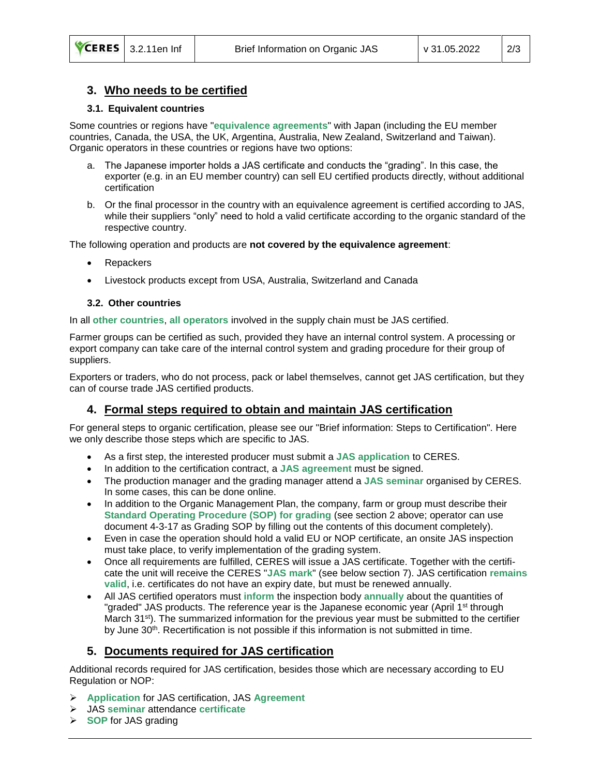#### **3. Who needs to be certified**

#### **3.1. Equivalent countries**

Some countries or regions have "**equivalence agreements**" with Japan (including the EU member countries, Canada, the USA, the UK, Argentina, Australia, New Zealand, Switzerland and Taiwan). Organic operators in these countries or regions have two options:

- a. The Japanese importer holds a JAS certificate and conducts the "grading". In this case, the exporter (e.g. in an EU member country) can sell EU certified products directly, without additional certification
- b. Or the final processor in the country with an equivalence agreement is certified according to JAS, while their suppliers "only" need to hold a valid certificate according to the organic standard of the respective country.

The following operation and products are **not covered by the equivalence agreement**:

- **Repackers**
- Livestock products except from USA, Australia, Switzerland and Canada

#### **3.2. Other countries**

In all **other countries**, **all operators** involved in the supply chain must be JAS certified.

Farmer groups can be certified as such, provided they have an internal control system. A processing or export company can take care of the internal control system and grading procedure for their group of suppliers.

Exporters or traders, who do not process, pack or label themselves, cannot get JAS certification, but they can of course trade JAS certified products.

# **4. Formal steps required to obtain and maintain JAS certification**

For general steps to organic certification, please see our "Brief information: Steps to Certification". Here we only describe those steps which are specific to JAS.

- As a first step, the interested producer must submit a **JAS application** to CERES.
- In addition to the certification contract, a **JAS agreement** must be signed.
- The production manager and the grading manager attend a **JAS seminar** organised by CERES. In some cases, this can be done online.
- In addition to the Organic Management Plan, the company, farm or group must describe their **Standard Operating Procedure (SOP) for grading** (see section 2 above; operator can use document 4-3-17 as Grading SOP by filling out the contents of this document completely).
- Even in case the operation should hold a valid EU or NOP certificate, an onsite JAS inspection must take place, to verify implementation of the grading system.
- Once all requirements are fulfilled, CERES will issue a JAS certificate. Together with the certificate the unit will receive the CERES "**JAS mark**" (see below section 7). JAS certification **remains valid**, i.e. certificates do not have an expiry date, but must be renewed annually.
- All JAS certified operators must **inform** the inspection body **annually** about the quantities of "graded" JAS products. The reference year is the Japanese economic year (April 1<sup>st</sup> through March 31<sup>st</sup>). The summarized information for the previous year must be submitted to the certifier by June 30<sup>th</sup>. Recertification is not possible if this information is not submitted in time.

# **5. Documents required for JAS certification**

Additional records required for JAS certification, besides those which are necessary according to EU Regulation or NOP:

- ➢ **Application** for JAS certification, JAS **Agreement**
- ➢ JAS **seminar** attendance **certificate**
- ➢ **SOP** for JAS grading